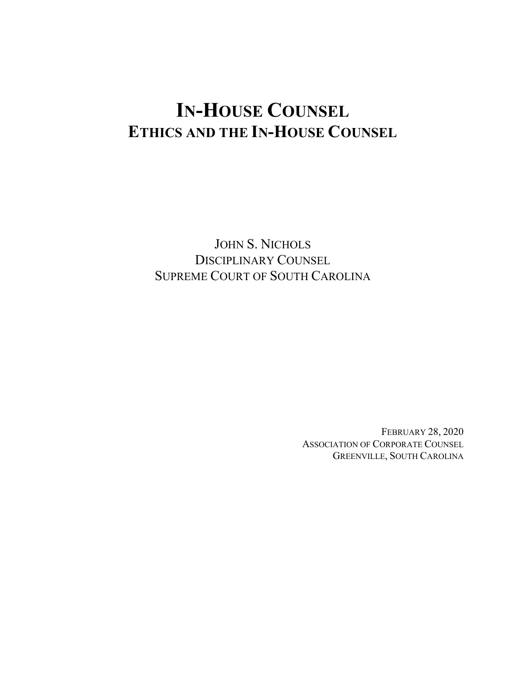# **IN-HOUSE COUNSEL ETHICS AND THE IN-HOUSE COUNSEL**

JOHN S. NICHOLS DISCIPLINARY COUNSEL SUPREME COURT OF SOUTH CAROLINA

> FEBRUARY 28, 2020 ASSOCIATION OF CORPORATE COUNSEL GREENVILLE, SOUTH CAROLINA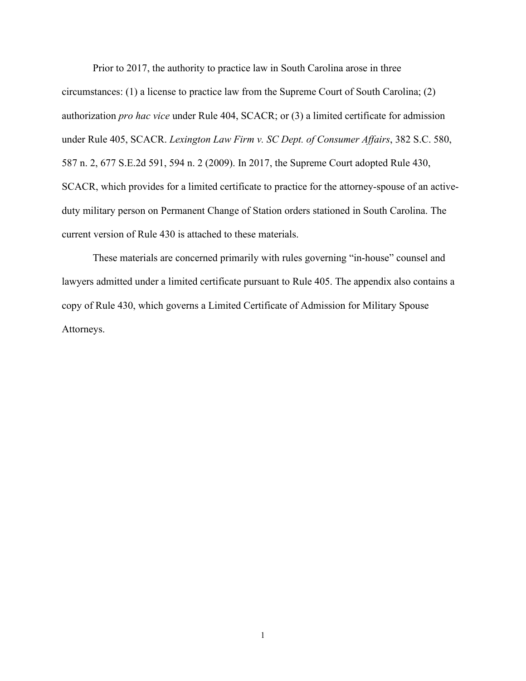Prior to 2017, the authority to practice law in South Carolina arose in three circumstances: (1) a license to practice law from the Supreme Court of South Carolina; (2) authorization *pro hac vice* under Rule 404, SCACR; or (3) a limited certificate for admission under Rule 405, SCACR. *Lexington Law Firm v. SC Dept. of Consumer Affairs*, 382 S.C. 580, 587 n. 2, 677 S.E.2d 591, 594 n. 2 (2009). In 2017, the Supreme Court adopted Rule 430, SCACR, which provides for a limited certificate to practice for the attorney-spouse of an activeduty military person on Permanent Change of Station orders stationed in South Carolina. The current version of Rule 430 is attached to these materials.

These materials are concerned primarily with rules governing "in-house" counsel and lawyers admitted under a limited certificate pursuant to Rule 405. The appendix also contains a copy of Rule 430, which governs a Limited Certificate of Admission for Military Spouse Attorneys.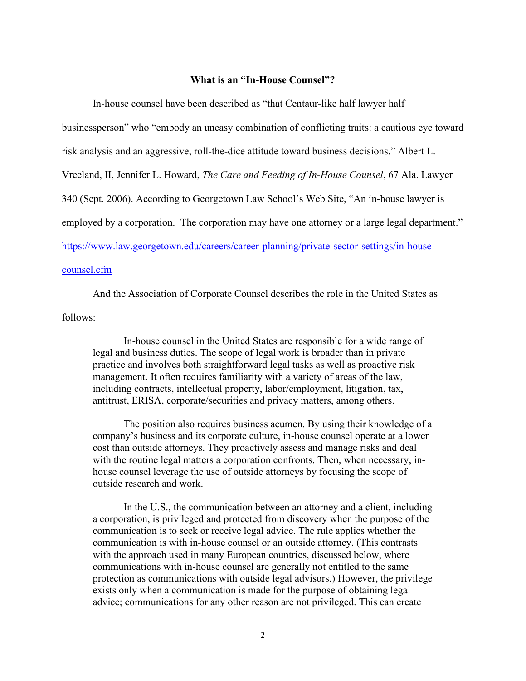#### **What is an "In-House Counsel"?**

In-house counsel have been described as "that Centaur-like half lawyer half businessperson" who "embody an uneasy combination of conflicting traits: a cautious eye toward risk analysis and an aggressive, roll-the-dice attitude toward business decisions." Albert L. Vreeland, II, Jennifer L. Howard, *The Care and Feeding of In-House Counsel*, 67 Ala. Lawyer 340 (Sept. 2006). According to Georgetown Law School's Web Site, "An in-house lawyer is employed by a corporation. The corporation may have one attorney or a large legal department." [https://www.law.georgetown.edu/careers/career-planning/private-sector-settings/in-house](https://www.law.georgetown.edu/careers/career-planning/private-sector-settings/in-house-counsel.cfm)[counsel.cfm](https://www.law.georgetown.edu/careers/career-planning/private-sector-settings/in-house-counsel.cfm)

And the Association of Corporate Counsel describes the role in the United States as

follows:

In-house counsel in the United States are responsible for a wide range of legal and business duties. The scope of legal work is broader than in private practice and involves both straightforward legal tasks as well as proactive risk management. It often requires familiarity with a variety of areas of the law, including contracts, intellectual property, labor/employment, litigation, tax, antitrust, ERISA, corporate/securities and privacy matters, among others.

The position also requires business acumen. By using their knowledge of a company's business and its corporate culture, in-house counsel operate at a lower cost than outside attorneys. They proactively assess and manage risks and deal with the routine legal matters a corporation confronts. Then, when necessary, inhouse counsel leverage the use of outside attorneys by focusing the scope of outside research and work.

In the U.S., the communication between an attorney and a client, including a corporation, is privileged and protected from discovery when the purpose of the communication is to seek or receive legal advice. The rule applies whether the communication is with in-house counsel or an outside attorney. (This contrasts with the approach used in many European countries, discussed below, where communications with in-house counsel are generally not entitled to the same protection as communications with outside legal advisors.) However, the privilege exists only when a communication is made for the purpose of obtaining legal advice; communications for any other reason are not privileged. This can create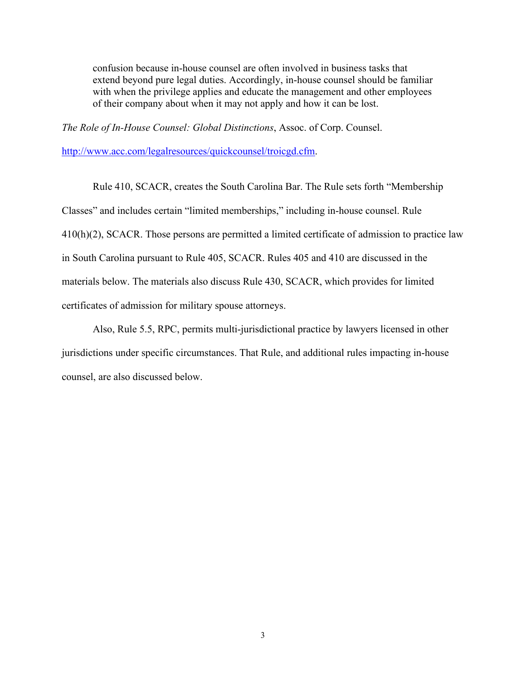confusion because in-house counsel are often involved in business tasks that extend beyond pure legal duties. Accordingly, in-house counsel should be familiar with when the privilege applies and educate the management and other employees of their company about when it may not apply and how it can be lost.

*The Role of In-House Counsel: Global Distinctions*, Assoc. of Corp. Counsel.

[http://www.acc.com/legalresources/quickcounsel/troicgd.cfm.](http://www.acc.com/legalresources/quickcounsel/troicgd.cfm)

Rule 410, SCACR, creates the South Carolina Bar. The Rule sets forth "Membership Classes" and includes certain "limited memberships," including in-house counsel. Rule 410(h)(2), SCACR. Those persons are permitted a limited certificate of admission to practice law in South Carolina pursuant to Rule 405, SCACR. Rules 405 and 410 are discussed in the materials below. The materials also discuss Rule 430, SCACR, which provides for limited certificates of admission for military spouse attorneys.

Also, Rule 5.5, RPC, permits multi-jurisdictional practice by lawyers licensed in other jurisdictions under specific circumstances. That Rule, and additional rules impacting in-house counsel, are also discussed below.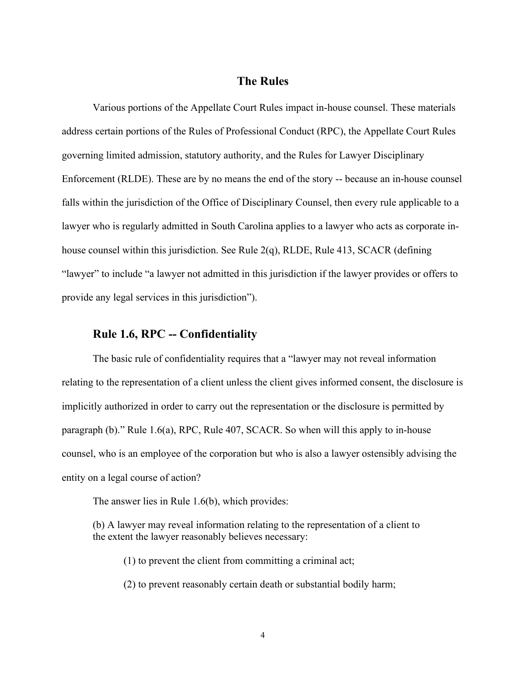## **The Rules**

Various portions of the Appellate Court Rules impact in-house counsel. These materials address certain portions of the Rules of Professional Conduct (RPC), the Appellate Court Rules governing limited admission, statutory authority, and the Rules for Lawyer Disciplinary Enforcement (RLDE). These are by no means the end of the story -- because an in-house counsel falls within the jurisdiction of the Office of Disciplinary Counsel, then every rule applicable to a lawyer who is regularly admitted in South Carolina applies to a lawyer who acts as corporate inhouse counsel within this jurisdiction. See Rule 2(q), RLDE, Rule 413, SCACR (defining "lawyer" to include "a lawyer not admitted in this jurisdiction if the lawyer provides or offers to provide any legal services in this jurisdiction").

#### **Rule 1.6, RPC -- Confidentiality**

The basic rule of confidentiality requires that a "lawyer may not reveal information relating to the representation of a client unless the client gives informed consent, the disclosure is implicitly authorized in order to carry out the representation or the disclosure is permitted by paragraph (b)." Rule 1.6(a), RPC, Rule 407, SCACR. So when will this apply to in-house counsel, who is an employee of the corporation but who is also a lawyer ostensibly advising the entity on a legal course of action?

The answer lies in Rule 1.6(b), which provides:

(b) A lawyer may reveal information relating to the representation of a client to the extent the lawyer reasonably believes necessary:

(1) to prevent the client from committing a criminal act;

(2) to prevent reasonably certain death or substantial bodily harm;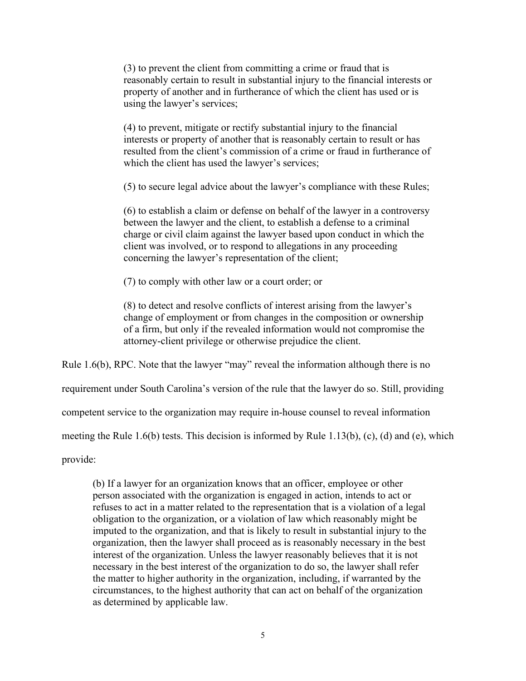(3) to prevent the client from committing a crime or fraud that is reasonably certain to result in substantial injury to the financial interests or property of another and in furtherance of which the client has used or is using the lawyer's services;

(4) to prevent, mitigate or rectify substantial injury to the financial interests or property of another that is reasonably certain to result or has resulted from the client's commission of a crime or fraud in furtherance of which the client has used the lawyer's services;

(5) to secure legal advice about the lawyer's compliance with these Rules;

(6) to establish a claim or defense on behalf of the lawyer in a controversy between the lawyer and the client, to establish a defense to a criminal charge or civil claim against the lawyer based upon conduct in which the client was involved, or to respond to allegations in any proceeding concerning the lawyer's representation of the client;

(7) to comply with other law or a court order; or

(8) to detect and resolve conflicts of interest arising from the lawyer's change of employment or from changes in the composition or ownership of a firm, but only if the revealed information would not compromise the attorney-client privilege or otherwise prejudice the client.

Rule 1.6(b), RPC. Note that the lawyer "may" reveal the information although there is no

requirement under South Carolina's version of the rule that the lawyer do so. Still, providing

competent service to the organization may require in-house counsel to reveal information

meeting the Rule 1.6(b) tests. This decision is informed by Rule 1.13(b),  $(c)$ ,  $(d)$  and  $(e)$ , which

provide:

(b) If a lawyer for an organization knows that an officer, employee or other person associated with the organization is engaged in action, intends to act or refuses to act in a matter related to the representation that is a violation of a legal obligation to the organization, or a violation of law which reasonably might be imputed to the organization, and that is likely to result in substantial injury to the organization, then the lawyer shall proceed as is reasonably necessary in the best interest of the organization. Unless the lawyer reasonably believes that it is not necessary in the best interest of the organization to do so, the lawyer shall refer the matter to higher authority in the organization, including, if warranted by the circumstances, to the highest authority that can act on behalf of the organization as determined by applicable law.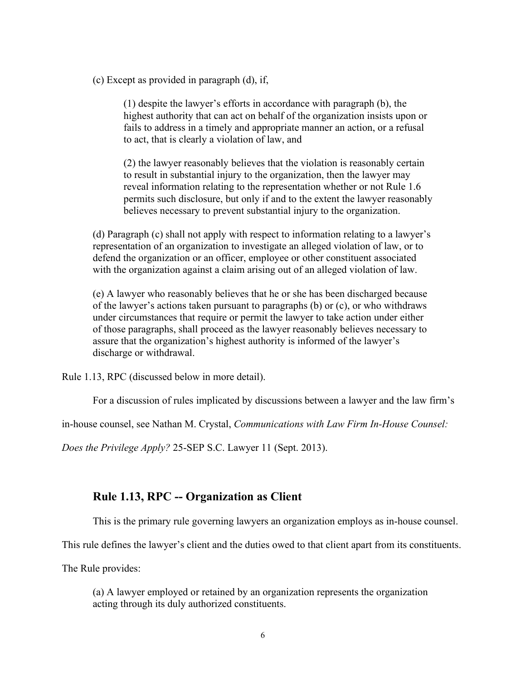(c) Except as provided in paragraph (d), if,

(1) despite the lawyer's efforts in accordance with paragraph (b), the highest authority that can act on behalf of the organization insists upon or fails to address in a timely and appropriate manner an action, or a refusal to act, that is clearly a violation of law, and

(2) the lawyer reasonably believes that the violation is reasonably certain to result in substantial injury to the organization, then the lawyer may reveal information relating to the representation whether or not Rule 1.6 permits such disclosure, but only if and to the extent the lawyer reasonably believes necessary to prevent substantial injury to the organization.

(d) Paragraph (c) shall not apply with respect to information relating to a lawyer's representation of an organization to investigate an alleged violation of law, or to defend the organization or an officer, employee or other constituent associated with the organization against a claim arising out of an alleged violation of law.

(e) A lawyer who reasonably believes that he or she has been discharged because of the lawyer's actions taken pursuant to paragraphs  $(b)$  or  $(c)$ , or who withdraws under circumstances that require or permit the lawyer to take action under either of those paragraphs, shall proceed as the lawyer reasonably believes necessary to assure that the organization's highest authority is informed of the lawyer's discharge or withdrawal.

Rule 1.13, RPC (discussed below in more detail).

For a discussion of rules implicated by discussions between a lawyer and the law firm's

in-house counsel, see Nathan M. Crystal, *Communications with Law Firm In-House Counsel:* 

*Does the Privilege Apply?* 25-SEP S.C. Lawyer 11 (Sept. 2013).

## **Rule 1.13, RPC -- Organization as Client**

This is the primary rule governing lawyers an organization employs as in-house counsel.

This rule defines the lawyer's client and the duties owed to that client apart from its constituents.

The Rule provides:

(a) A lawyer employed or retained by an organization represents the organization acting through its duly authorized constituents.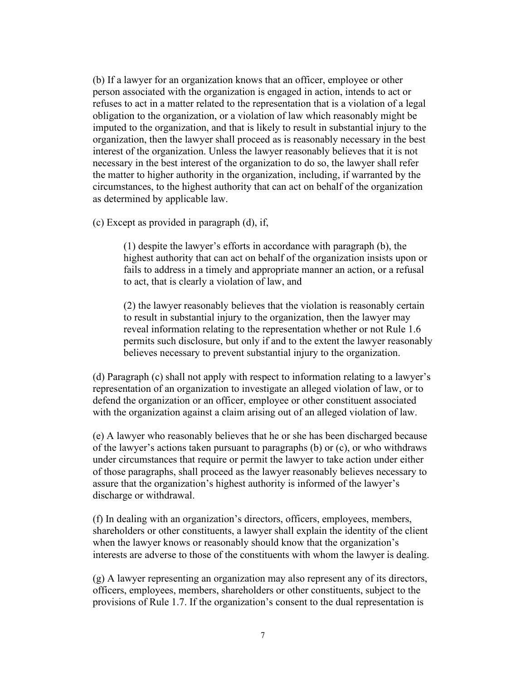(b) If a lawyer for an organization knows that an officer, employee or other person associated with the organization is engaged in action, intends to act or refuses to act in a matter related to the representation that is a violation of a legal obligation to the organization, or a violation of law which reasonably might be imputed to the organization, and that is likely to result in substantial injury to the organization, then the lawyer shall proceed as is reasonably necessary in the best interest of the organization. Unless the lawyer reasonably believes that it is not necessary in the best interest of the organization to do so, the lawyer shall refer the matter to higher authority in the organization, including, if warranted by the circumstances, to the highest authority that can act on behalf of the organization as determined by applicable law.

(c) Except as provided in paragraph (d), if,

(1) despite the lawyer's efforts in accordance with paragraph (b), the highest authority that can act on behalf of the organization insists upon or fails to address in a timely and appropriate manner an action, or a refusal to act, that is clearly a violation of law, and

(2) the lawyer reasonably believes that the violation is reasonably certain to result in substantial injury to the organization, then the lawyer may reveal information relating to the representation whether or not Rule 1.6 permits such disclosure, but only if and to the extent the lawyer reasonably believes necessary to prevent substantial injury to the organization.

(d) Paragraph (c) shall not apply with respect to information relating to a lawyer's representation of an organization to investigate an alleged violation of law, or to defend the organization or an officer, employee or other constituent associated with the organization against a claim arising out of an alleged violation of law.

(e) A lawyer who reasonably believes that he or she has been discharged because of the lawyer's actions taken pursuant to paragraphs (b) or (c), or who withdraws under circumstances that require or permit the lawyer to take action under either of those paragraphs, shall proceed as the lawyer reasonably believes necessary to assure that the organization's highest authority is informed of the lawyer's discharge or withdrawal.

(f) In dealing with an organization's directors, officers, employees, members, shareholders or other constituents, a lawyer shall explain the identity of the client when the lawyer knows or reasonably should know that the organization's interests are adverse to those of the constituents with whom the lawyer is dealing.

(g) A lawyer representing an organization may also represent any of its directors, officers, employees, members, shareholders or other constituents, subject to the provisions of Rule 1.7. If the organization's consent to the dual representation is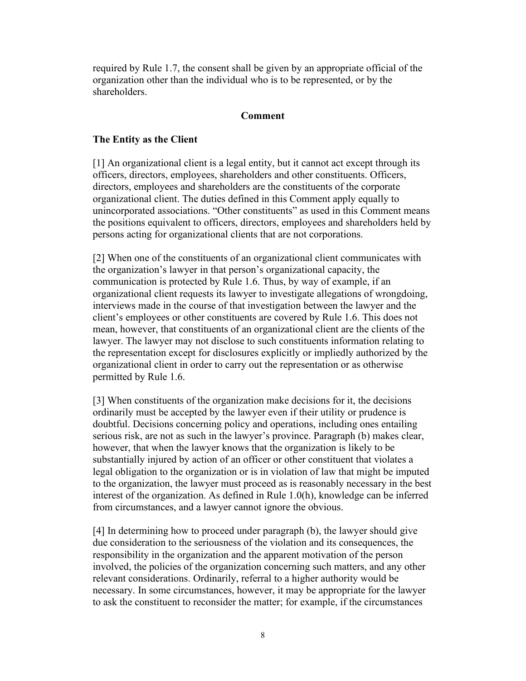required by Rule 1.7, the consent shall be given by an appropriate official of the organization other than the individual who is to be represented, or by the shareholders.

#### **Comment**

#### **The Entity as the Client**

[1] An organizational client is a legal entity, but it cannot act except through its officers, directors, employees, shareholders and other constituents. Officers, directors, employees and shareholders are the constituents of the corporate organizational client. The duties defined in this Comment apply equally to unincorporated associations. "Other constituents" as used in this Comment means the positions equivalent to officers, directors, employees and shareholders held by persons acting for organizational clients that are not corporations.

[2] When one of the constituents of an organizational client communicates with the organization's lawyer in that person's organizational capacity, the communication is protected by Rule 1.6. Thus, by way of example, if an organizational client requests its lawyer to investigate allegations of wrongdoing, interviews made in the course of that investigation between the lawyer and the client's employees or other constituents are covered by Rule 1.6. This does not mean, however, that constituents of an organizational client are the clients of the lawyer. The lawyer may not disclose to such constituents information relating to the representation except for disclosures explicitly or impliedly authorized by the organizational client in order to carry out the representation or as otherwise permitted by Rule 1.6.

[3] When constituents of the organization make decisions for it, the decisions ordinarily must be accepted by the lawyer even if their utility or prudence is doubtful. Decisions concerning policy and operations, including ones entailing serious risk, are not as such in the lawyer's province. Paragraph (b) makes clear, however, that when the lawyer knows that the organization is likely to be substantially injured by action of an officer or other constituent that violates a legal obligation to the organization or is in violation of law that might be imputed to the organization, the lawyer must proceed as is reasonably necessary in the best interest of the organization. As defined in Rule 1.0(h), knowledge can be inferred from circumstances, and a lawyer cannot ignore the obvious.

[4] In determining how to proceed under paragraph (b), the lawyer should give due consideration to the seriousness of the violation and its consequences, the responsibility in the organization and the apparent motivation of the person involved, the policies of the organization concerning such matters, and any other relevant considerations. Ordinarily, referral to a higher authority would be necessary. In some circumstances, however, it may be appropriate for the lawyer to ask the constituent to reconsider the matter; for example, if the circumstances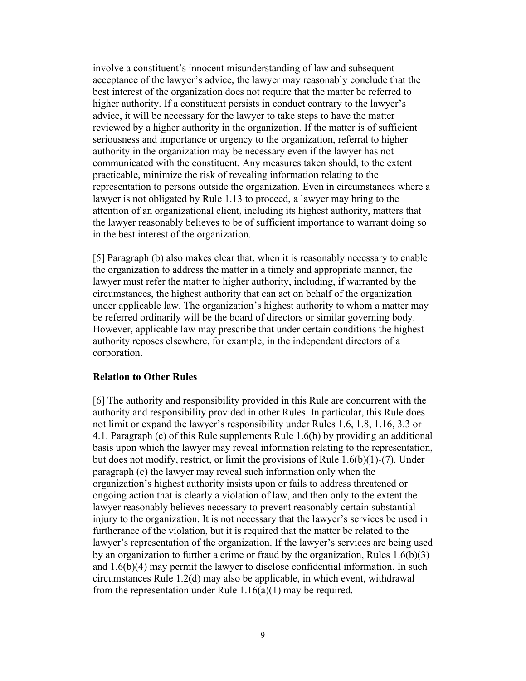involve a constituent's innocent misunderstanding of law and subsequent acceptance of the lawyer's advice, the lawyer may reasonably conclude that the best interest of the organization does not require that the matter be referred to higher authority. If a constituent persists in conduct contrary to the lawyer's advice, it will be necessary for the lawyer to take steps to have the matter reviewed by a higher authority in the organization. If the matter is of sufficient seriousness and importance or urgency to the organization, referral to higher authority in the organization may be necessary even if the lawyer has not communicated with the constituent. Any measures taken should, to the extent practicable, minimize the risk of revealing information relating to the representation to persons outside the organization. Even in circumstances where a lawyer is not obligated by Rule 1.13 to proceed, a lawyer may bring to the attention of an organizational client, including its highest authority, matters that the lawyer reasonably believes to be of sufficient importance to warrant doing so in the best interest of the organization.

[5] Paragraph (b) also makes clear that, when it is reasonably necessary to enable the organization to address the matter in a timely and appropriate manner, the lawyer must refer the matter to higher authority, including, if warranted by the circumstances, the highest authority that can act on behalf of the organization under applicable law. The organization's highest authority to whom a matter may be referred ordinarily will be the board of directors or similar governing body. However, applicable law may prescribe that under certain conditions the highest authority reposes elsewhere, for example, in the independent directors of a corporation.

#### **Relation to Other Rules**

[6] The authority and responsibility provided in this Rule are concurrent with the authority and responsibility provided in other Rules. In particular, this Rule does not limit or expand the lawyer's responsibility under Rules 1.6, 1.8, 1.16, 3.3 or 4.1. Paragraph (c) of this Rule supplements Rule 1.6(b) by providing an additional basis upon which the lawyer may reveal information relating to the representation, but does not modify, restrict, or limit the provisions of Rule  $1.6(b)(1)-(7)$ . Under paragraph (c) the lawyer may reveal such information only when the organization's highest authority insists upon or fails to address threatened or ongoing action that is clearly a violation of law, and then only to the extent the lawyer reasonably believes necessary to prevent reasonably certain substantial injury to the organization. It is not necessary that the lawyer's services be used in furtherance of the violation, but it is required that the matter be related to the lawyer's representation of the organization. If the lawyer's services are being used by an organization to further a crime or fraud by the organization, Rules 1.6(b)(3) and 1.6(b)(4) may permit the lawyer to disclose confidential information. In such circumstances Rule 1.2(d) may also be applicable, in which event, withdrawal from the representation under Rule 1.16(a)(1) may be required.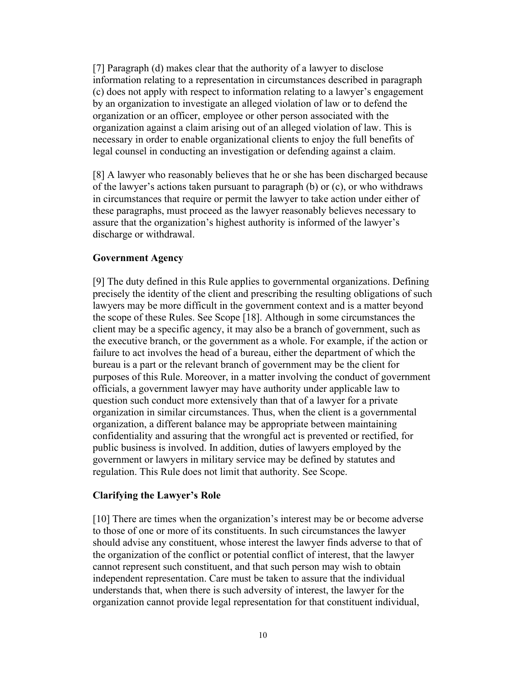[7] Paragraph (d) makes clear that the authority of a lawyer to disclose information relating to a representation in circumstances described in paragraph (c) does not apply with respect to information relating to a lawyer's engagement by an organization to investigate an alleged violation of law or to defend the organization or an officer, employee or other person associated with the organization against a claim arising out of an alleged violation of law. This is necessary in order to enable organizational clients to enjoy the full benefits of legal counsel in conducting an investigation or defending against a claim.

[8] A lawyer who reasonably believes that he or she has been discharged because of the lawyer's actions taken pursuant to paragraph (b) or (c), or who withdraws in circumstances that require or permit the lawyer to take action under either of these paragraphs, must proceed as the lawyer reasonably believes necessary to assure that the organization's highest authority is informed of the lawyer's discharge or withdrawal.

#### **Government Agency**

[9] The duty defined in this Rule applies to governmental organizations. Defining precisely the identity of the client and prescribing the resulting obligations of such lawyers may be more difficult in the government context and is a matter beyond the scope of these Rules. See Scope [18]. Although in some circumstances the client may be a specific agency, it may also be a branch of government, such as the executive branch, or the government as a whole. For example, if the action or failure to act involves the head of a bureau, either the department of which the bureau is a part or the relevant branch of government may be the client for purposes of this Rule. Moreover, in a matter involving the conduct of government officials, a government lawyer may have authority under applicable law to question such conduct more extensively than that of a lawyer for a private organization in similar circumstances. Thus, when the client is a governmental organization, a different balance may be appropriate between maintaining confidentiality and assuring that the wrongful act is prevented or rectified, for public business is involved. In addition, duties of lawyers employed by the government or lawyers in military service may be defined by statutes and regulation. This Rule does not limit that authority. See Scope.

#### **Clarifying the Lawyer's Role**

[10] There are times when the organization's interest may be or become adverse to those of one or more of its constituents. In such circumstances the lawyer should advise any constituent, whose interest the lawyer finds adverse to that of the organization of the conflict or potential conflict of interest, that the lawyer cannot represent such constituent, and that such person may wish to obtain independent representation. Care must be taken to assure that the individual understands that, when there is such adversity of interest, the lawyer for the organization cannot provide legal representation for that constituent individual,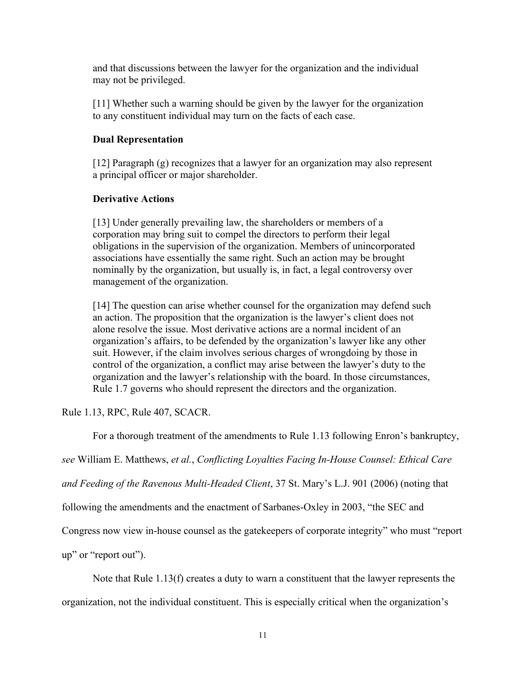and that discussions between the lawyer for the organization and the individual may not be privileged.

[11] Whether such a warning should be given by the lawyer for the organization to any constituent individual may turn on the facts of each case.

#### **Dual Representation**

[12] Paragraph (g) recognizes that a lawyer for an organization may also represent a principal officer or major shareholder.

#### **Derivative Actions**

[13] Under generally prevailing law, the shareholders or members of a corporation may bring suit to compel the directors to perform their legal obligations in the supervision of the organization. Members of unincorporated associations have essentially the same right. Such an action may be brought nominally by the organization, but usually is, in fact, a legal controversy over management of the organization.

[14] The question can arise whether counsel for the organization may defend such an action. The proposition that the organization is the lawyer's client does not alone resolve the issue. Most derivative actions are a normal incident of an organization's affairs, to be defended by the organization's lawyer like any other suit. However, if the claim involves serious charges of wrongdoing by those in control of the organization, a conflict may arise between the lawyer's duty to the organization and the lawyer's relationship with the board. In those circumstances, Rule 1.7 governs who should represent the directors and the organization.

Rule 1.13, RPC, Rule 407, SCACR.

For a thorough treatment of the amendments to Rule 1.13 following Enron's bankruptcy,

*see* William E. Matthews, *et al.*, *Conflicting Loyalties Facing In-House Counsel: Ethical Care* 

*and Feeding of the Ravenous Multi-Headed Client*, 37 St. Mary's L.J. 901 (2006) (noting that

following the amendments and the enactment of Sarbanes-Oxley in 2003, "the SEC and

Congress now view in-house counsel as the gatekeepers of corporate integrity" who must "report

up" or "report out").

Note that Rule 1.13(f) creates a duty to warn a constituent that the lawyer represents the

organization, not the individual constituent. This is especially critical when the organization's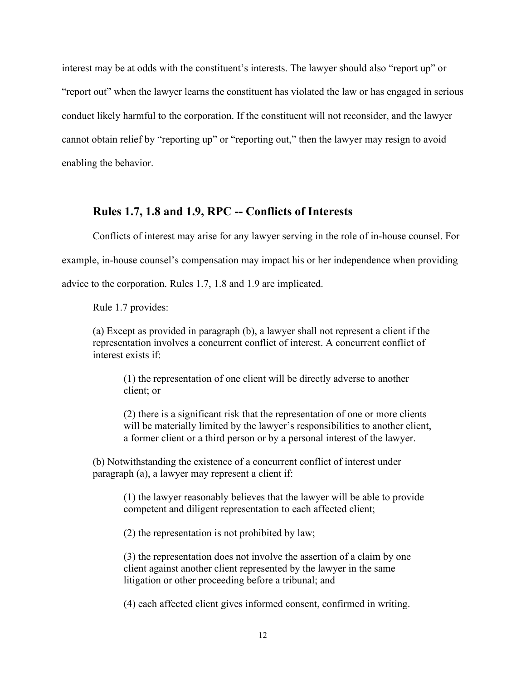interest may be at odds with the constituent's interests. The lawyer should also "report up" or "report out" when the lawyer learns the constituent has violated the law or has engaged in serious conduct likely harmful to the corporation. If the constituent will not reconsider, and the lawyer cannot obtain relief by "reporting up" or "reporting out," then the lawyer may resign to avoid enabling the behavior.

## **Rules 1.7, 1.8 and 1.9, RPC -- Conflicts of Interests**

Conflicts of interest may arise for any lawyer serving in the role of in-house counsel. For example, in-house counsel's compensation may impact his or her independence when providing advice to the corporation. Rules 1.7, 1.8 and 1.9 are implicated.

Rule 1.7 provides:

(a) Except as provided in paragraph (b), a lawyer shall not represent a client if the representation involves a concurrent conflict of interest. A concurrent conflict of interest exists if:

(1) the representation of one client will be directly adverse to another client; or

(2) there is a significant risk that the representation of one or more clients will be materially limited by the lawyer's responsibilities to another client, a former client or a third person or by a personal interest of the lawyer.

(b) Notwithstanding the existence of a concurrent conflict of interest under paragraph (a), a lawyer may represent a client if:

> (1) the lawyer reasonably believes that the lawyer will be able to provide competent and diligent representation to each affected client;

(2) the representation is not prohibited by law;

(3) the representation does not involve the assertion of a claim by one client against another client represented by the lawyer in the same litigation or other proceeding before a tribunal; and

(4) each affected client gives informed consent, confirmed in writing.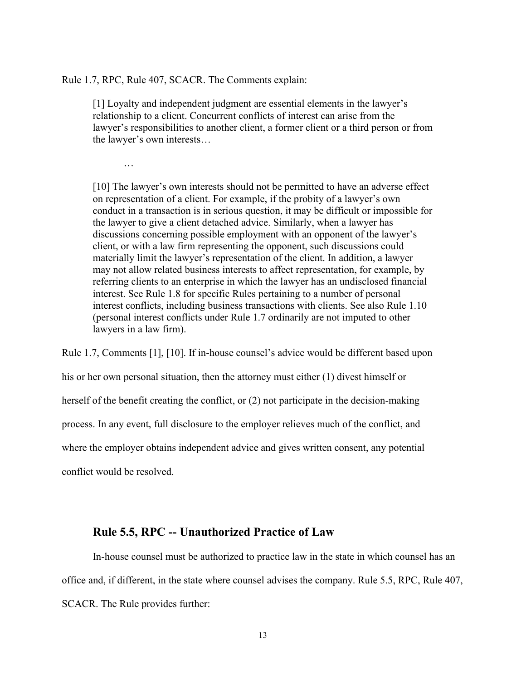Rule 1.7, RPC, Rule 407, SCACR. The Comments explain:

[1] Loyalty and independent judgment are essential elements in the lawyer's relationship to a client. Concurrent conflicts of interest can arise from the lawyer's responsibilities to another client, a former client or a third person or from the lawyer's own interests…

…

[10] The lawyer's own interests should not be permitted to have an adverse effect on representation of a client. For example, if the probity of a lawyer's own conduct in a transaction is in serious question, it may be difficult or impossible for the lawyer to give a client detached advice. Similarly, when a lawyer has discussions concerning possible employment with an opponent of the lawyer's client, or with a law firm representing the opponent, such discussions could materially limit the lawyer's representation of the client. In addition, a lawyer may not allow related business interests to affect representation, for example, by referring clients to an enterprise in which the lawyer has an undisclosed financial interest. See Rule 1.8 for specific Rules pertaining to a number of personal interest conflicts, including business transactions with clients. See also Rule 1.10 (personal interest conflicts under Rule 1.7 ordinarily are not imputed to other lawyers in a law firm).

Rule 1.7, Comments [1], [10]. If in-house counsel's advice would be different based upon his or her own personal situation, then the attorney must either (1) divest himself or herself of the benefit creating the conflict, or (2) not participate in the decision-making process. In any event, full disclosure to the employer relieves much of the conflict, and where the employer obtains independent advice and gives written consent, any potential conflict would be resolved.

#### **Rule 5.5, RPC -- Unauthorized Practice of Law**

In-house counsel must be authorized to practice law in the state in which counsel has an office and, if different, in the state where counsel advises the company. Rule 5.5, RPC, Rule 407, SCACR. The Rule provides further: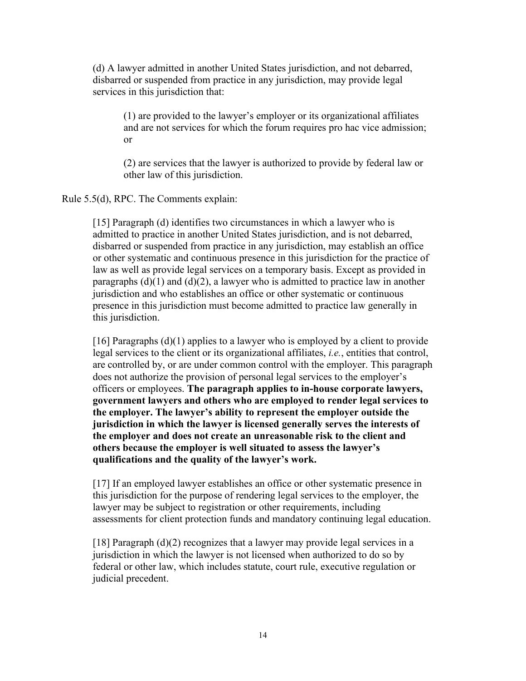(d) A lawyer admitted in another United States jurisdiction, and not debarred, disbarred or suspended from practice in any jurisdiction, may provide legal services in this jurisdiction that:

(1) are provided to the lawyer's employer or its organizational affiliates and are not services for which the forum requires pro hac vice admission; or

(2) are services that the lawyer is authorized to provide by federal law or other law of this jurisdiction.

Rule 5.5(d), RPC. The Comments explain:

[15] Paragraph (d) identifies two circumstances in which a lawyer who is admitted to practice in another United States jurisdiction, and is not debarred, disbarred or suspended from practice in any jurisdiction, may establish an office or other systematic and continuous presence in this jurisdiction for the practice of law as well as provide legal services on a temporary basis. Except as provided in paragraphs  $(d)(1)$  and  $(d)(2)$ , a lawyer who is admitted to practice law in another jurisdiction and who establishes an office or other systematic or continuous presence in this jurisdiction must become admitted to practice law generally in this jurisdiction.

 $[16]$  Paragraphs  $(d)(1)$  applies to a lawyer who is employed by a client to provide legal services to the client or its organizational affiliates, *i.e.*, entities that control, are controlled by, or are under common control with the employer. This paragraph does not authorize the provision of personal legal services to the employer's officers or employees. **The paragraph applies to in-house corporate lawyers, government lawyers and others who are employed to render legal services to the employer. The lawyer's ability to represent the employer outside the jurisdiction in which the lawyer is licensed generally serves the interests of the employer and does not create an unreasonable risk to the client and others because the employer is well situated to assess the lawyer's qualifications and the quality of the lawyer's work.**

[17] If an employed lawyer establishes an office or other systematic presence in this jurisdiction for the purpose of rendering legal services to the employer, the lawyer may be subject to registration or other requirements, including assessments for client protection funds and mandatory continuing legal education.

[18] Paragraph (d)(2) recognizes that a lawyer may provide legal services in a jurisdiction in which the lawyer is not licensed when authorized to do so by federal or other law, which includes statute, court rule, executive regulation or judicial precedent.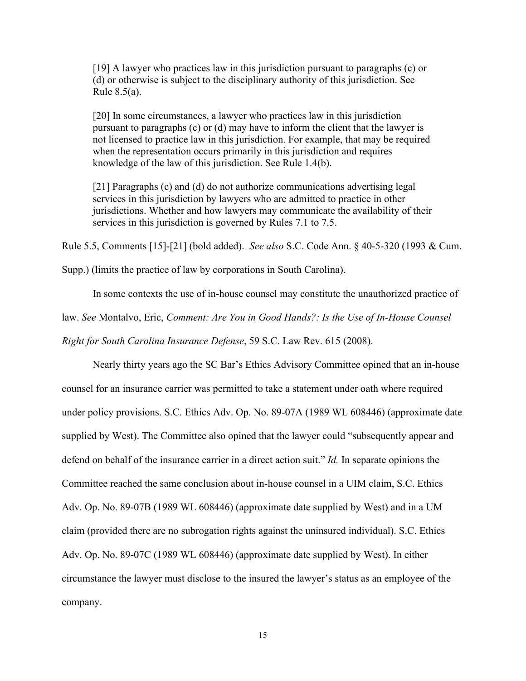[19] A lawyer who practices law in this jurisdiction pursuant to paragraphs (c) or (d) or otherwise is subject to the disciplinary authority of this jurisdiction. See Rule 8.5(a).

[20] In some circumstances, a lawyer who practices law in this jurisdiction pursuant to paragraphs (c) or (d) may have to inform the client that the lawyer is not licensed to practice law in this jurisdiction. For example, that may be required when the representation occurs primarily in this jurisdiction and requires knowledge of the law of this jurisdiction. See Rule 1.4(b).

[21] Paragraphs (c) and (d) do not authorize communications advertising legal services in this jurisdiction by lawyers who are admitted to practice in other jurisdictions. Whether and how lawyers may communicate the availability of their services in this jurisdiction is governed by Rules 7.1 to 7.5.

Rule 5.5, Comments [15]-[21] (bold added). *See also* S.C. Code Ann. § 40-5-320 (1993 & Cum.

Supp.) (limits the practice of law by corporations in South Carolina).

In some contexts the use of in-house counsel may constitute the unauthorized practice of

law. *See* Montalvo, Eric, *Comment: Are You in Good Hands?: Is the Use of In-House Counsel* 

*Right for South Carolina Insurance Defense*, 59 S.C. Law Rev. 615 (2008).

Nearly thirty years ago the SC Bar's Ethics Advisory Committee opined that an in-house counsel for an insurance carrier was permitted to take a statement under oath where required under policy provisions. S.C. Ethics Adv. Op. No. 89-07A (1989 WL 608446) (approximate date supplied by West). The Committee also opined that the lawyer could "subsequently appear and defend on behalf of the insurance carrier in a direct action suit." *Id.* In separate opinions the Committee reached the same conclusion about in-house counsel in a UIM claim, S.C. Ethics Adv. Op. No. 89-07B (1989 WL 608446) (approximate date supplied by West) and in a UM claim (provided there are no subrogation rights against the uninsured individual). S.C. Ethics Adv. Op. No. 89-07C (1989 WL 608446) (approximate date supplied by West). In either circumstance the lawyer must disclose to the insured the lawyer's status as an employee of the company.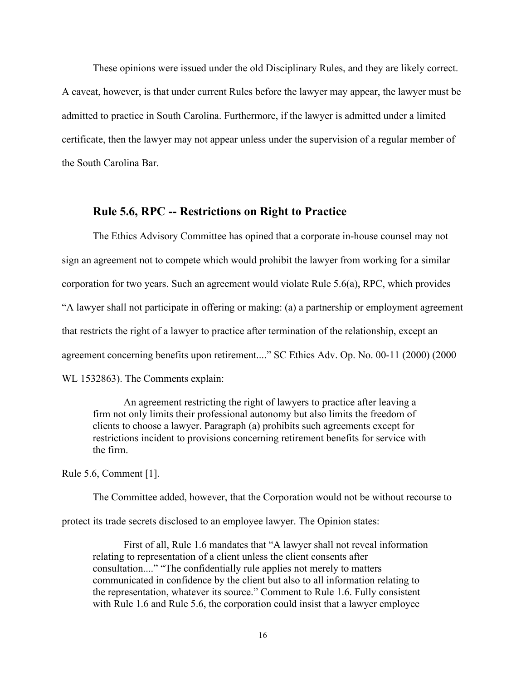These opinions were issued under the old Disciplinary Rules, and they are likely correct. A caveat, however, is that under current Rules before the lawyer may appear, the lawyer must be admitted to practice in South Carolina. Furthermore, if the lawyer is admitted under a limited certificate, then the lawyer may not appear unless under the supervision of a regular member of the South Carolina Bar.

## **Rule 5.6, RPC -- Restrictions on Right to Practice**

The Ethics Advisory Committee has opined that a corporate in-house counsel may not sign an agreement not to compete which would prohibit the lawyer from working for a similar corporation for two years. Such an agreement would violate Rule 5.6(a), RPC, which provides "A lawyer shall not participate in offering or making: (a) a partnership or employment agreement that restricts the right of a lawyer to practice after termination of the relationship, except an agreement concerning benefits upon retirement...." SC Ethics Adv. Op. No. 00-11 (2000) (2000 WL 1532863). The Comments explain:

An agreement restricting the right of lawyers to practice after leaving a firm not only limits their professional autonomy but also limits the freedom of clients to choose a lawyer. Paragraph (a) prohibits such agreements except for restrictions incident to provisions concerning retirement benefits for service with the firm.

Rule 5.6, Comment [1].

The Committee added, however, that the Corporation would not be without recourse to

protect its trade secrets disclosed to an employee lawyer. The Opinion states:

First of all, Rule 1.6 mandates that "A lawyer shall not reveal information relating to representation of a client unless the client consents after consultation...." "The confidentially rule applies not merely to matters communicated in confidence by the client but also to all information relating to the representation, whatever its source." Comment to Rule 1.6. Fully consistent with Rule 1.6 and Rule 5.6, the corporation could insist that a lawyer employee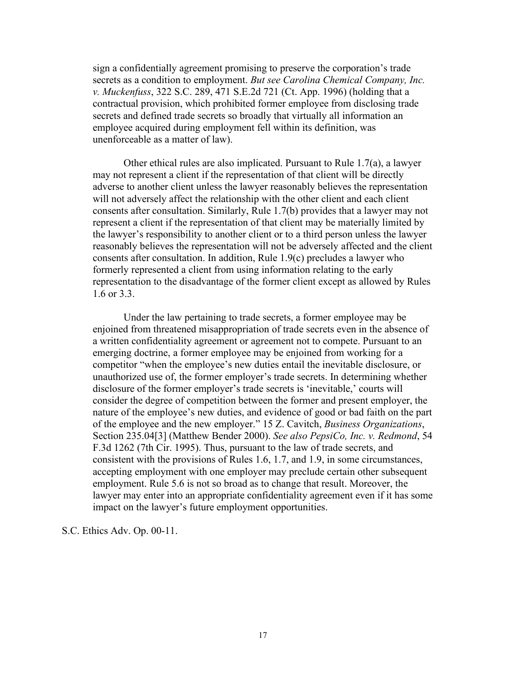sign a confidentially agreement promising to preserve the corporation's trade secrets as a condition to employment. *But see Carolina Chemical Company, Inc. v. Muckenfuss*, 322 S.C. 289, 471 S.E.2d 721 (Ct. App. 1996) (holding that a contractual provision, which prohibited former employee from disclosing trade secrets and defined trade secrets so broadly that virtually all information an employee acquired during employment fell within its definition, was unenforceable as a matter of law).

Other ethical rules are also implicated. Pursuant to Rule 1.7(a), a lawyer may not represent a client if the representation of that client will be directly adverse to another client unless the lawyer reasonably believes the representation will not adversely affect the relationship with the other client and each client consents after consultation. Similarly, Rule 1.7(b) provides that a lawyer may not represent a client if the representation of that client may be materially limited by the lawyer's responsibility to another client or to a third person unless the lawyer reasonably believes the representation will not be adversely affected and the client consents after consultation. In addition, Rule 1.9(c) precludes a lawyer who formerly represented a client from using information relating to the early representation to the disadvantage of the former client except as allowed by Rules 1.6 or 3.3.

Under the law pertaining to trade secrets, a former employee may be enjoined from threatened misappropriation of trade secrets even in the absence of a written confidentiality agreement or agreement not to compete. Pursuant to an emerging doctrine, a former employee may be enjoined from working for a competitor "when the employee's new duties entail the inevitable disclosure, or unauthorized use of, the former employer's trade secrets. In determining whether disclosure of the former employer's trade secrets is 'inevitable,' courts will consider the degree of competition between the former and present employer, the nature of the employee's new duties, and evidence of good or bad faith on the part of the employee and the new employer." 15 Z. Cavitch, *Business Organizations*, Section 235.04[3] (Matthew Bender 2000). *See also PepsiCo, Inc. v. Redmond*, 54 F.3d 1262 (7th Cir. 1995). Thus, pursuant to the law of trade secrets, and consistent with the provisions of Rules 1.6, 1.7, and 1.9, in some circumstances, accepting employment with one employer may preclude certain other subsequent employment. Rule 5.6 is not so broad as to change that result. Moreover, the lawyer may enter into an appropriate confidentiality agreement even if it has some impact on the lawyer's future employment opportunities.

S.C. Ethics Adv. Op. 00-11.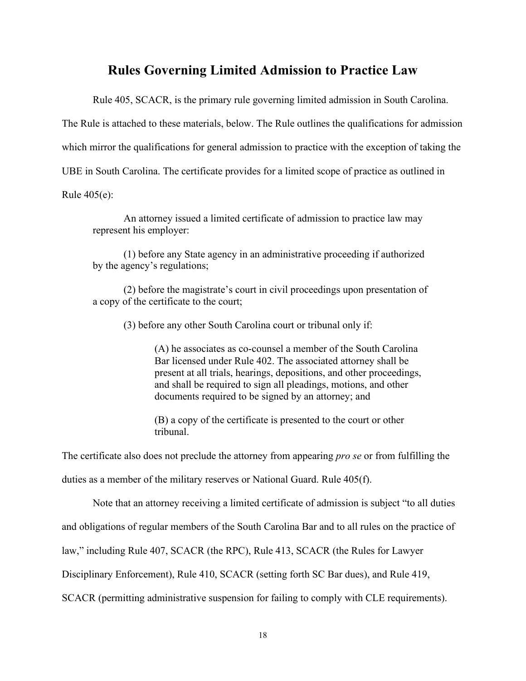# **Rules Governing Limited Admission to Practice Law**

Rule 405, SCACR, is the primary rule governing limited admission in South Carolina.

The Rule is attached to these materials, below. The Rule outlines the qualifications for admission

which mirror the qualifications for general admission to practice with the exception of taking the

UBE in South Carolina. The certificate provides for a limited scope of practice as outlined in

Rule 405(e):

An attorney issued a limited certificate of admission to practice law may represent his employer:

(1) before any State agency in an administrative proceeding if authorized by the agency's regulations;

(2) before the magistrate's court in civil proceedings upon presentation of a copy of the certificate to the court;

(3) before any other South Carolina court or tribunal only if:

(A) he associates as co-counsel a member of the South Carolina Bar licensed under Rule 402. The associated attorney shall be present at all trials, hearings, depositions, and other proceedings, and shall be required to sign all pleadings, motions, and other documents required to be signed by an attorney; and

(B) a copy of the certificate is presented to the court or other tribunal.

The certificate also does not preclude the attorney from appearing *pro se* or from fulfilling the

duties as a member of the military reserves or National Guard. Rule 405(f).

Note that an attorney receiving a limited certificate of admission is subject "to all duties

and obligations of regular members of the South Carolina Bar and to all rules on the practice of

law," including Rule 407, SCACR (the RPC), Rule 413, SCACR (the Rules for Lawyer

Disciplinary Enforcement), Rule 410, SCACR (setting forth SC Bar dues), and Rule 419,

SCACR (permitting administrative suspension for failing to comply with CLE requirements).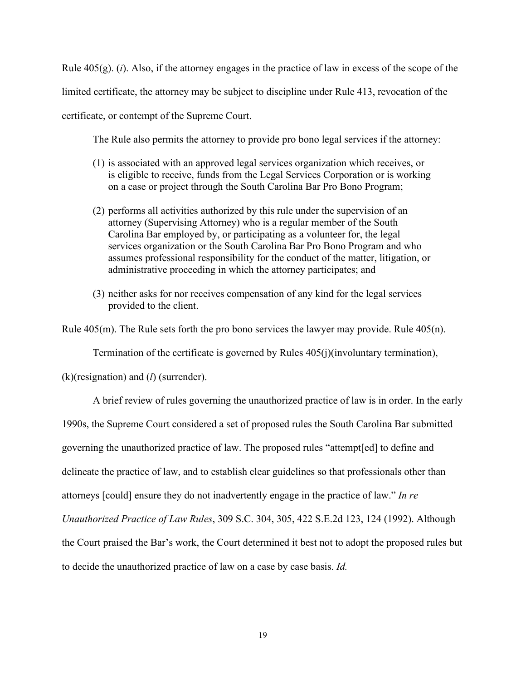Rule 405(g). (*i*). Also, if the attorney engages in the practice of law in excess of the scope of the limited certificate, the attorney may be subject to discipline under Rule 413, revocation of the certificate, or contempt of the Supreme Court.

The Rule also permits the attorney to provide pro bono legal services if the attorney:

- (1) is associated with an approved legal services organization which receives, or is eligible to receive, funds from the Legal Services Corporation or is working on a case or project through the South Carolina Bar Pro Bono Program;
- (2) performs all activities authorized by this rule under the supervision of an attorney (Supervising Attorney) who is a regular member of the South Carolina Bar employed by, or participating as a volunteer for, the legal services organization or the South Carolina Bar Pro Bono Program and who assumes professional responsibility for the conduct of the matter, litigation, or administrative proceeding in which the attorney participates; and
- (3) neither asks for nor receives compensation of any kind for the legal services provided to the client.

Rule  $405(m)$ . The Rule sets forth the pro bono services the lawyer may provide. Rule  $405(n)$ .

Termination of the certificate is governed by Rules 405(j)(involuntary termination),

(k)(resignation) and (*l*) (surrender).

A brief review of rules governing the unauthorized practice of law is in order. In the early 1990s, the Supreme Court considered a set of proposed rules the South Carolina Bar submitted governing the unauthorized practice of law. The proposed rules "attempt[ed] to define and delineate the practice of law, and to establish clear guidelines so that professionals other than attorneys [could] ensure they do not inadvertently engage in the practice of law." *In re Unauthorized Practice of Law Rules*, 309 S.C. 304, 305, 422 S.E.2d 123, 124 (1992). Although the Court praised the Bar's work, the Court determined it best not to adopt the proposed rules but to decide the unauthorized practice of law on a case by case basis. *Id.*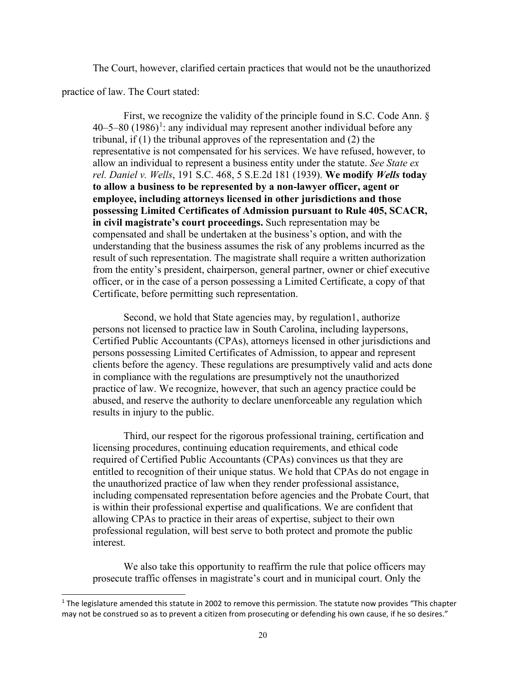The Court, however, clarified certain practices that would not be the unauthorized practice of law. The Court stated:

First, we recognize the validity of the principle found in S.C. Code Ann. § 40–5–80  $(1986)^{1}$  $(1986)^{1}$  $(1986)^{1}$ : any individual may represent another individual before any tribunal, if (1) the tribunal approves of the representation and (2) the representative is not compensated for his services. We have refused, however, to allow an individual to represent a business entity under the statute. *See State ex rel. Daniel v. Wells*, 191 S.C. 468, 5 S.E.2d 181 (1939). **We modify** *Wells* **today to allow a business to be represented by a non-lawyer officer, agent or employee, including attorneys licensed in other jurisdictions and those possessing Limited Certificates of Admission pursuant to Rule 405, SCACR, in civil magistrate's court proceedings.** Such representation may be compensated and shall be undertaken at the business's option, and with the understanding that the business assumes the risk of any problems incurred as the result of such representation. The magistrate shall require a written authorization from the entity's president, chairperson, general partner, owner or chief executive officer, or in the case of a person possessing a Limited Certificate, a copy of that Certificate, before permitting such representation.

Second, we hold that State agencies may, by regulation1, authorize persons not licensed to practice law in South Carolina, including laypersons, Certified Public Accountants (CPAs), attorneys licensed in other jurisdictions and persons possessing Limited Certificates of Admission, to appear and represent clients before the agency. These regulations are presumptively valid and acts done in compliance with the regulations are presumptively not the unauthorized practice of law. We recognize, however, that such an agency practice could be abused, and reserve the authority to declare unenforceable any regulation which results in injury to the public.

Third, our respect for the rigorous professional training, certification and licensing procedures, continuing education requirements, and ethical code required of Certified Public Accountants (CPAs) convinces us that they are entitled to recognition of their unique status. We hold that CPAs do not engage in the unauthorized practice of law when they render professional assistance, including compensated representation before agencies and the Probate Court, that is within their professional expertise and qualifications. We are confident that allowing CPAs to practice in their areas of expertise, subject to their own professional regulation, will best serve to both protect and promote the public interest.

We also take this opportunity to reaffirm the rule that police officers may prosecute traffic offenses in magistrate's court and in municipal court. Only the

<span id="page-20-0"></span> $1$  The legislature amended this statute in 2002 to remove this permission. The statute now provides "This chapter may not be construed so as to prevent a citizen from prosecuting or defending his own cause, if he so desires."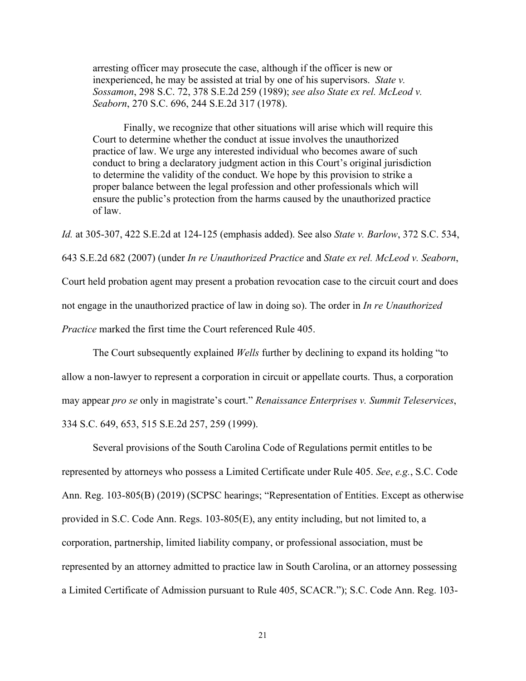arresting officer may prosecute the case, although if the officer is new or inexperienced, he may be assisted at trial by one of his supervisors. *State v. Sossamon*, 298 S.C. 72, 378 S.E.2d 259 (1989); *see also State ex rel. McLeod v. Seaborn*, 270 S.C. 696, 244 S.E.2d 317 (1978).

Finally, we recognize that other situations will arise which will require this Court to determine whether the conduct at issue involves the unauthorized practice of law. We urge any interested individual who becomes aware of such conduct to bring a declaratory judgment action in this Court's original jurisdiction to determine the validity of the conduct. We hope by this provision to strike a proper balance between the legal profession and other professionals which will ensure the public's protection from the harms caused by the unauthorized practice of law.

*Id.* at 305-307, 422 S.E.2d at 124-125 (emphasis added). See also *State v. Barlow*, 372 S.C. 534,

643 S.E.2d 682 (2007) (under *In re Unauthorized Practice* and *State ex rel. McLeod v. Seaborn*,

Court held probation agent may present a probation revocation case to the circuit court and does not engage in the unauthorized practice of law in doing so). The order in *In re Unauthorized Practice* marked the first time the Court referenced Rule 405.

The Court subsequently explained *Wells* further by declining to expand its holding "to allow a non-lawyer to represent a corporation in circuit or appellate courts. Thus, a corporation may appear *pro se* only in magistrate's court." *Renaissance Enterprises v. Summit Teleservices*, 334 S.C. 649, 653, 515 S.E.2d 257, 259 (1999).

Several provisions of the South Carolina Code of Regulations permit entitles to be represented by attorneys who possess a Limited Certificate under Rule 405. *See*, *e.g.*, S.C. Code Ann. Reg. 103-805(B) (2019) (SCPSC hearings; "Representation of Entities. Except as otherwise provided in S.C. Code Ann. Regs. 103-805(E), any entity including, but not limited to, a corporation, partnership, limited liability company, or professional association, must be represented by an attorney admitted to practice law in South Carolina, or an attorney possessing a Limited Certificate of Admission pursuant to Rule 405, SCACR."); S.C. Code Ann. Reg. 103-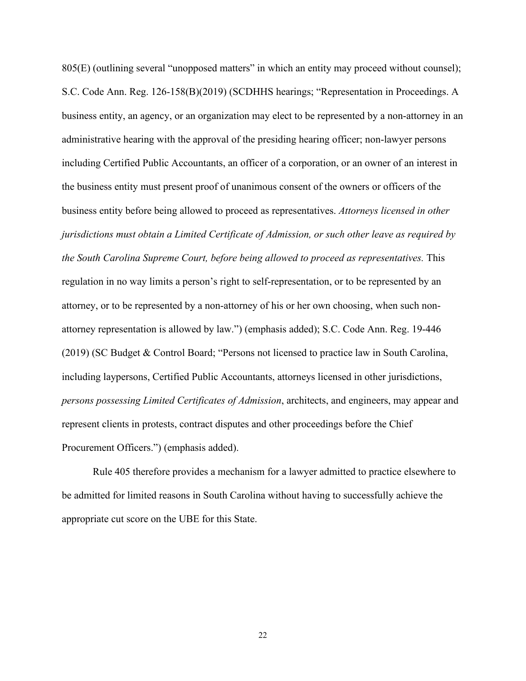805(E) (outlining several "unopposed matters" in which an entity may proceed without counsel); S.C. Code Ann. Reg. 126-158(B)(2019) (SCDHHS hearings; "Representation in Proceedings. A business entity, an agency, or an organization may elect to be represented by a non-attorney in an administrative hearing with the approval of the presiding hearing officer; non-lawyer persons including Certified Public Accountants, an officer of a corporation, or an owner of an interest in the business entity must present proof of unanimous consent of the owners or officers of the business entity before being allowed to proceed as representatives. *Attorneys licensed in other jurisdictions must obtain a Limited Certificate of Admission, or such other leave as required by the South Carolina Supreme Court, before being allowed to proceed as representatives.* This regulation in no way limits a person's right to self-representation, or to be represented by an attorney, or to be represented by a non-attorney of his or her own choosing, when such nonattorney representation is allowed by law.") (emphasis added); S.C. Code Ann. Reg. 19-446 (2019) (SC Budget & Control Board; "Persons not licensed to practice law in South Carolina, including laypersons, Certified Public Accountants, attorneys licensed in other jurisdictions, *persons possessing Limited Certificates of Admission*, architects, and engineers, may appear and represent clients in protests, contract disputes and other proceedings before the Chief Procurement Officers.") (emphasis added).

Rule 405 therefore provides a mechanism for a lawyer admitted to practice elsewhere to be admitted for limited reasons in South Carolina without having to successfully achieve the appropriate cut score on the UBE for this State.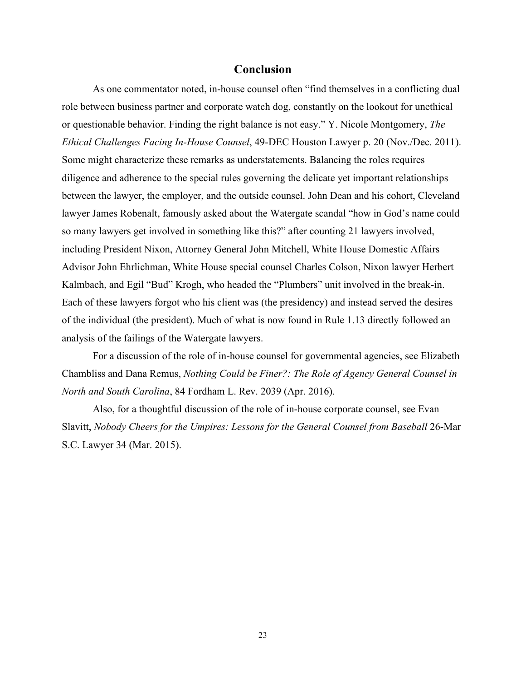## **Conclusion**

As one commentator noted, in-house counsel often "find themselves in a conflicting dual role between business partner and corporate watch dog, constantly on the lookout for unethical or questionable behavior. Finding the right balance is not easy." Y. Nicole Montgomery, *The Ethical Challenges Facing In-House Counsel*, 49-DEC Houston Lawyer p. 20 (Nov./Dec. 2011). Some might characterize these remarks as understatements. Balancing the roles requires diligence and adherence to the special rules governing the delicate yet important relationships between the lawyer, the employer, and the outside counsel. John Dean and his cohort, Cleveland lawyer James Robenalt, famously asked about the Watergate scandal "how in God's name could so many lawyers get involved in something like this?" after counting 21 lawyers involved, including President Nixon, Attorney General John Mitchell, White House Domestic Affairs Advisor John Ehrlichman, White House special counsel Charles Colson, Nixon lawyer Herbert Kalmbach, and Egil "Bud" Krogh, who headed the "Plumbers" unit involved in the break-in. Each of these lawyers forgot who his client was (the presidency) and instead served the desires of the individual (the president). Much of what is now found in Rule 1.13 directly followed an analysis of the failings of the Watergate lawyers.

For a discussion of the role of in-house counsel for governmental agencies, see Elizabeth Chambliss and Dana Remus, *Nothing Could be Finer?: The Role of Agency General Counsel in North and South Carolina*, 84 Fordham L. Rev. 2039 (Apr. 2016).

Also, for a thoughtful discussion of the role of in-house corporate counsel, see Evan Slavitt, *Nobody Cheers for the Umpires: Lessons for the General Counsel from Baseball* 26-Mar S.C. Lawyer 34 (Mar. 2015).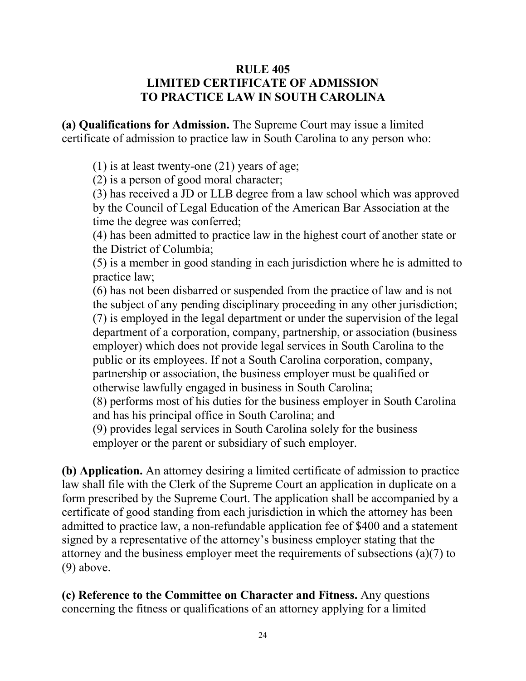# **RULE 405 LIMITED CERTIFICATE OF ADMISSION TO PRACTICE LAW IN SOUTH CAROLINA**

**(a) Qualifications for Admission.** The Supreme Court may issue a limited certificate of admission to practice law in South Carolina to any person who:

(1) is at least twenty-one (21) years of age;

(2) is a person of good moral character;

(3) has received a JD or LLB degree from a law school which was approved by the Council of Legal Education of the American Bar Association at the time the degree was conferred;

(4) has been admitted to practice law in the highest court of another state or the District of Columbia;

(5) is a member in good standing in each jurisdiction where he is admitted to practice law;

(6) has not been disbarred or suspended from the practice of law and is not the subject of any pending disciplinary proceeding in any other jurisdiction; (7) is employed in the legal department or under the supervision of the legal department of a corporation, company, partnership, or association (business employer) which does not provide legal services in South Carolina to the public or its employees. If not a South Carolina corporation, company, partnership or association, the business employer must be qualified or otherwise lawfully engaged in business in South Carolina;

(8) performs most of his duties for the business employer in South Carolina and has his principal office in South Carolina; and

(9) provides legal services in South Carolina solely for the business employer or the parent or subsidiary of such employer.

**(b) Application.** An attorney desiring a limited certificate of admission to practice law shall file with the Clerk of the Supreme Court an application in duplicate on a form prescribed by the Supreme Court. The application shall be accompanied by a certificate of good standing from each jurisdiction in which the attorney has been admitted to practice law, a non-refundable application fee of \$400 and a statement signed by a representative of the attorney's business employer stating that the attorney and the business employer meet the requirements of subsections (a)(7) to (9) above.

**(c) Reference to the Committee on Character and Fitness.** Any questions concerning the fitness or qualifications of an attorney applying for a limited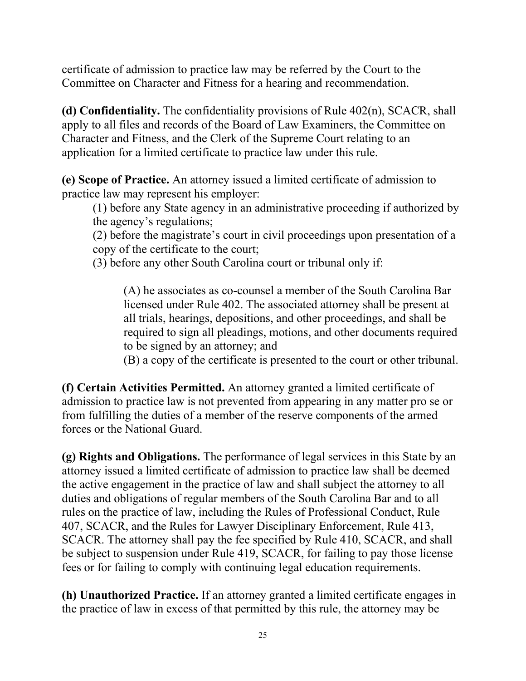certificate of admission to practice law may be referred by the Court to the Committee on Character and Fitness for a hearing and recommendation.

**(d) Confidentiality.** The confidentiality provisions of Rule 402(n), SCACR, shall apply to all files and records of the Board of Law Examiners, the Committee on Character and Fitness, and the Clerk of the Supreme Court relating to an application for a limited certificate to practice law under this rule.

**(e) Scope of Practice.** An attorney issued a limited certificate of admission to practice law may represent his employer:

(1) before any State agency in an administrative proceeding if authorized by the agency's regulations;

(2) before the magistrate's court in civil proceedings upon presentation of a copy of the certificate to the court;

(3) before any other South Carolina court or tribunal only if:

(A) he associates as co-counsel a member of the South Carolina Bar licensed under Rule 402. The associated attorney shall be present at all trials, hearings, depositions, and other proceedings, and shall be required to sign all pleadings, motions, and other documents required to be signed by an attorney; and

(B) a copy of the certificate is presented to the court or other tribunal.

**(f) Certain Activities Permitted.** An attorney granted a limited certificate of admission to practice law is not prevented from appearing in any matter pro se or from fulfilling the duties of a member of the reserve components of the armed forces or the National Guard.

**(g) Rights and Obligations.** The performance of legal services in this State by an attorney issued a limited certificate of admission to practice law shall be deemed the active engagement in the practice of law and shall subject the attorney to all duties and obligations of regular members of the South Carolina Bar and to all rules on the practice of law, including the Rules of Professional Conduct, Rule 407, SCACR, and the Rules for Lawyer Disciplinary Enforcement, Rule 413, SCACR. The attorney shall pay the fee specified by Rule 410, SCACR, and shall be subject to suspension under Rule 419, SCACR, for failing to pay those license fees or for failing to comply with continuing legal education requirements.

**(h) Unauthorized Practice.** If an attorney granted a limited certificate engages in the practice of law in excess of that permitted by this rule, the attorney may be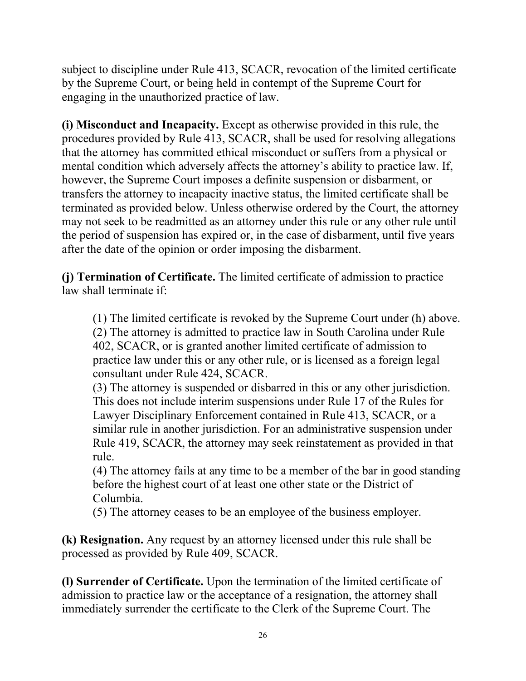subject to discipline under Rule 413, SCACR, revocation of the limited certificate by the Supreme Court, or being held in contempt of the Supreme Court for engaging in the unauthorized practice of law.

**(i) Misconduct and Incapacity.** Except as otherwise provided in this rule, the procedures provided by Rule 413, SCACR, shall be used for resolving allegations that the attorney has committed ethical misconduct or suffers from a physical or mental condition which adversely affects the attorney's ability to practice law. If, however, the Supreme Court imposes a definite suspension or disbarment, or transfers the attorney to incapacity inactive status, the limited certificate shall be terminated as provided below. Unless otherwise ordered by the Court, the attorney may not seek to be readmitted as an attorney under this rule or any other rule until the period of suspension has expired or, in the case of disbarment, until five years after the date of the opinion or order imposing the disbarment.

**(j) Termination of Certificate.** The limited certificate of admission to practice law shall terminate if:

(1) The limited certificate is revoked by the Supreme Court under (h) above. (2) The attorney is admitted to practice law in South Carolina under Rule 402, SCACR, or is granted another limited certificate of admission to practice law under this or any other rule, or is licensed as a foreign legal consultant under Rule 424, SCACR.

(3) The attorney is suspended or disbarred in this or any other jurisdiction. This does not include interim suspensions under Rule 17 of the Rules for Lawyer Disciplinary Enforcement contained in Rule 413, SCACR, or a similar rule in another jurisdiction. For an administrative suspension under Rule 419, SCACR, the attorney may seek reinstatement as provided in that rule.

(4) The attorney fails at any time to be a member of the bar in good standing before the highest court of at least one other state or the District of Columbia.

(5) The attorney ceases to be an employee of the business employer.

**(k) Resignation.** Any request by an attorney licensed under this rule shall be processed as provided by Rule 409, SCACR.

**(l) Surrender of Certificate.** Upon the termination of the limited certificate of admission to practice law or the acceptance of a resignation, the attorney shall immediately surrender the certificate to the Clerk of the Supreme Court. The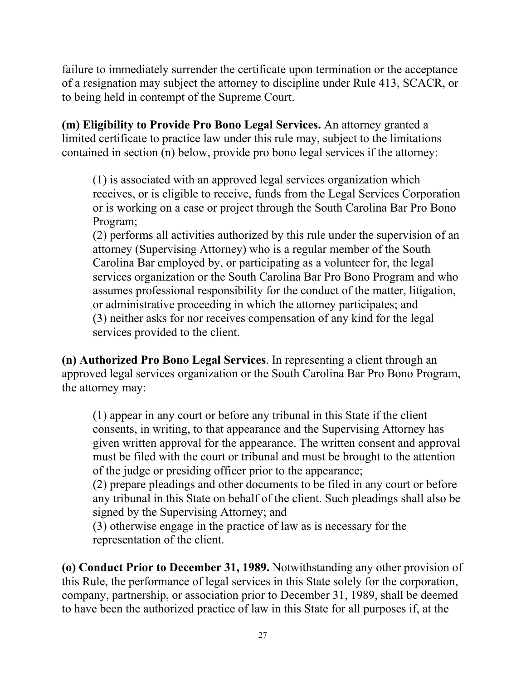failure to immediately surrender the certificate upon termination or the acceptance of a resignation may subject the attorney to discipline under Rule 413, SCACR, or to being held in contempt of the Supreme Court.

**(m) Eligibility to Provide Pro Bono Legal Services.** An attorney granted a limited certificate to practice law under this rule may, subject to the limitations contained in section (n) below, provide pro bono legal services if the attorney:

(1) is associated with an approved legal services organization which receives, or is eligible to receive, funds from the Legal Services Corporation or is working on a case or project through the South Carolina Bar Pro Bono Program;

(2) performs all activities authorized by this rule under the supervision of an attorney (Supervising Attorney) who is a regular member of the South Carolina Bar employed by, or participating as a volunteer for, the legal services organization or the South Carolina Bar Pro Bono Program and who assumes professional responsibility for the conduct of the matter, litigation, or administrative proceeding in which the attorney participates; and (3) neither asks for nor receives compensation of any kind for the legal services provided to the client.

**(n) Authorized Pro Bono Legal Services**. In representing a client through an approved legal services organization or the South Carolina Bar Pro Bono Program, the attorney may:

(1) appear in any court or before any tribunal in this State if the client consents, in writing, to that appearance and the Supervising Attorney has given written approval for the appearance. The written consent and approval must be filed with the court or tribunal and must be brought to the attention of the judge or presiding officer prior to the appearance;

(2) prepare pleadings and other documents to be filed in any court or before any tribunal in this State on behalf of the client. Such pleadings shall also be signed by the Supervising Attorney; and

(3) otherwise engage in the practice of law as is necessary for the representation of the client.

**(o) Conduct Prior to December 31, 1989.** Notwithstanding any other provision of this Rule, the performance of legal services in this State solely for the corporation, company, partnership, or association prior to December 31, 1989, shall be deemed to have been the authorized practice of law in this State for all purposes if, at the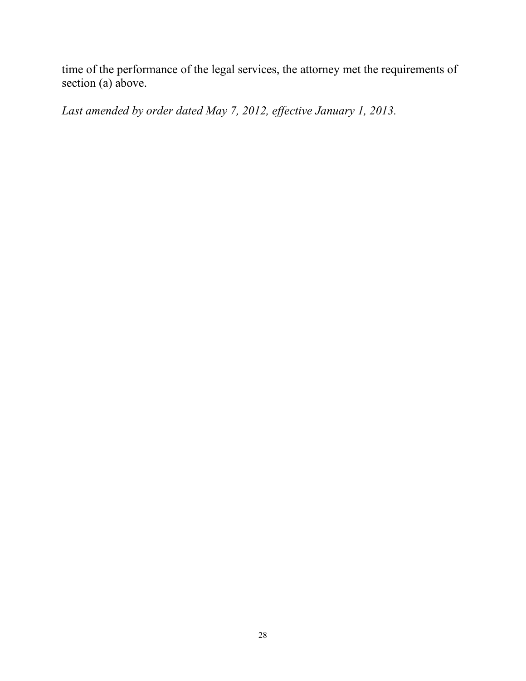time of the performance of the legal services, the attorney met the requirements of section (a) above.

*Last amended by order dated May 7, 2012, effective January 1, 2013.*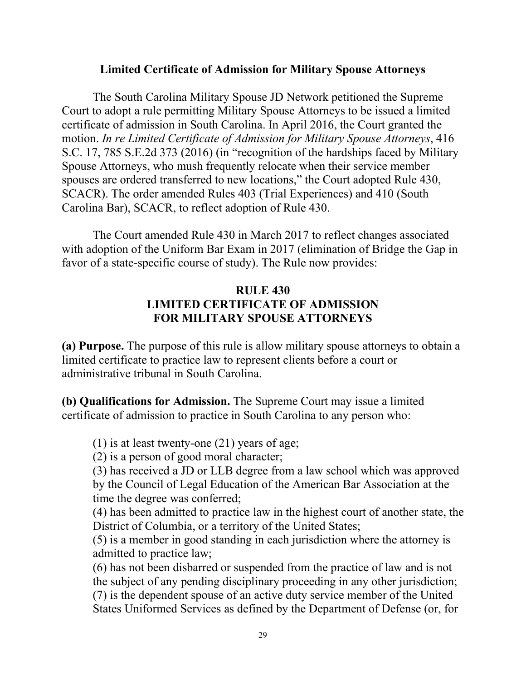# **Limited Certificate of Admission for Military Spouse Attorneys**

The South Carolina Military Spouse JD Network petitioned the Supreme Court to adopt a rule permitting Military Spouse Attorneys to be issued a limited certificate of admission in South Carolina. In April 2016, the Court granted the motion. *In re Limited Certificate of Admission for Military Spouse Attorneys*, 416 S.C. 17, 785 S.E.2d 373 (2016) (in "recognition of the hardships faced by Military Spouse Attorneys, who mush frequently relocate when their service member spouses are ordered transferred to new locations," the Court adopted Rule 430, SCACR). The order amended Rules 403 (Trial Experiences) and 410 (South Carolina Bar), SCACR, to reflect adoption of Rule 430.

The Court amended Rule 430 in March 2017 to reflect changes associated with adoption of the Uniform Bar Exam in 2017 (elimination of Bridge the Gap in favor of a state-specific course of study). The Rule now provides:

# **RULE 430 LIMITED CERTIFICATE OF ADMISSION FOR MILITARY SPOUSE ATTORNEYS**

**(a) Purpose.** The purpose of this rule is allow military spouse attorneys to obtain a limited certificate to practice law to represent clients before a court or administrative tribunal in South Carolina.

**(b) Qualifications for Admission.** The Supreme Court may issue a limited certificate of admission to practice in South Carolina to any person who:

(1) is at least twenty-one (21) years of age;

(2) is a person of good moral character;

(3) has received a JD or LLB degree from a law school which was approved by the Council of Legal Education of the American Bar Association at the time the degree was conferred;

(4) has been admitted to practice law in the highest court of another state, the District of Columbia, or a territory of the United States;

(5) is a member in good standing in each jurisdiction where the attorney is admitted to practice law;

(6) has not been disbarred or suspended from the practice of law and is not the subject of any pending disciplinary proceeding in any other jurisdiction; (7) is the dependent spouse of an active duty service member of the United States Uniformed Services as defined by the Department of Defense (or, for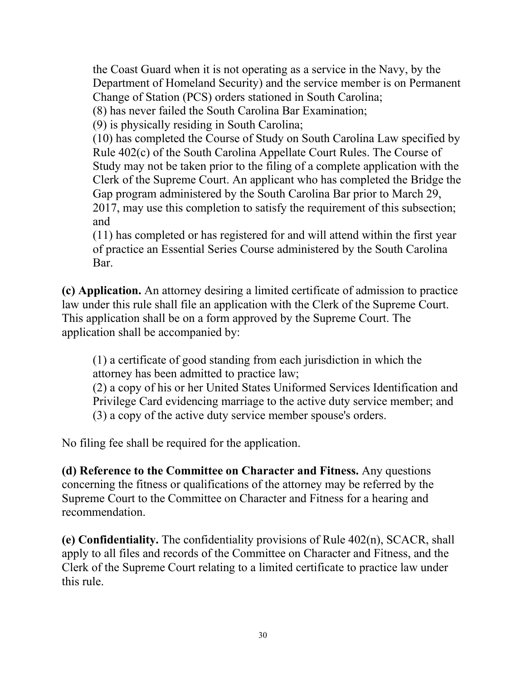the Coast Guard when it is not operating as a service in the Navy, by the Department of Homeland Security) and the service member is on Permanent Change of Station (PCS) orders stationed in South Carolina;

(8) has never failed the South Carolina Bar Examination;

(9) is physically residing in South Carolina;

(10) has completed the Course of Study on South Carolina Law specified by Rule 402(c) of the South Carolina Appellate Court Rules. The Course of Study may not be taken prior to the filing of a complete application with the Clerk of the Supreme Court. An applicant who has completed the Bridge the Gap program administered by the South Carolina Bar prior to March 29, 2017, may use this completion to satisfy the requirement of this subsection; and

(11) has completed or has registered for and will attend within the first year of practice an Essential Series Course administered by the South Carolina Bar.

**(c) Application.** An attorney desiring a limited certificate of admission to practice law under this rule shall file an application with the Clerk of the Supreme Court. This application shall be on a form approved by the Supreme Court. The application shall be accompanied by:

(1) a certificate of good standing from each jurisdiction in which the attorney has been admitted to practice law;

(2) a copy of his or her United States Uniformed Services Identification and Privilege Card evidencing marriage to the active duty service member; and (3) a copy of the active duty service member spouse's orders.

No filing fee shall be required for the application.

**(d) Reference to the Committee on Character and Fitness.** Any questions concerning the fitness or qualifications of the attorney may be referred by the Supreme Court to the Committee on Character and Fitness for a hearing and recommendation.

**(e) Confidentiality.** The confidentiality provisions of Rule 402(n), SCACR, shall apply to all files and records of the Committee on Character and Fitness, and the Clerk of the Supreme Court relating to a limited certificate to practice law under this rule.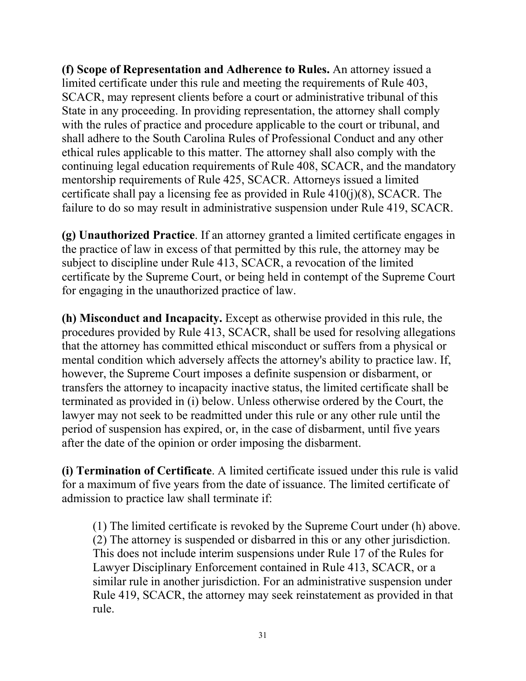**(f) Scope of Representation and Adherence to Rules.** An attorney issued a limited certificate under this rule and meeting the requirements of Rule 403, SCACR, may represent clients before a court or administrative tribunal of this State in any proceeding. In providing representation, the attorney shall comply with the rules of practice and procedure applicable to the court or tribunal, and shall adhere to the South Carolina Rules of Professional Conduct and any other ethical rules applicable to this matter. The attorney shall also comply with the continuing legal education requirements of Rule 408, SCACR, and the mandatory mentorship requirements of Rule 425, SCACR. Attorneys issued a limited certificate shall pay a licensing fee as provided in Rule  $410(i)(8)$ , SCACR. The failure to do so may result in administrative suspension under Rule 419, SCACR.

**(g) Unauthorized Practice**. If an attorney granted a limited certificate engages in the practice of law in excess of that permitted by this rule, the attorney may be subject to discipline under Rule 413, SCACR, a revocation of the limited certificate by the Supreme Court, or being held in contempt of the Supreme Court for engaging in the unauthorized practice of law.

**(h) Misconduct and Incapacity.** Except as otherwise provided in this rule, the procedures provided by Rule 413, SCACR, shall be used for resolving allegations that the attorney has committed ethical misconduct or suffers from a physical or mental condition which adversely affects the attorney's ability to practice law. If, however, the Supreme Court imposes a definite suspension or disbarment, or transfers the attorney to incapacity inactive status, the limited certificate shall be terminated as provided in (i) below. Unless otherwise ordered by the Court, the lawyer may not seek to be readmitted under this rule or any other rule until the period of suspension has expired, or, in the case of disbarment, until five years after the date of the opinion or order imposing the disbarment.

**(i) Termination of Certificate**. A limited certificate issued under this rule is valid for a maximum of five years from the date of issuance. The limited certificate of admission to practice law shall terminate if:

(1) The limited certificate is revoked by the Supreme Court under (h) above. (2) The attorney is suspended or disbarred in this or any other jurisdiction. This does not include interim suspensions under Rule 17 of the Rules for Lawyer Disciplinary Enforcement contained in Rule 413, SCACR, or a similar rule in another jurisdiction. For an administrative suspension under Rule 419, SCACR, the attorney may seek reinstatement as provided in that rule.